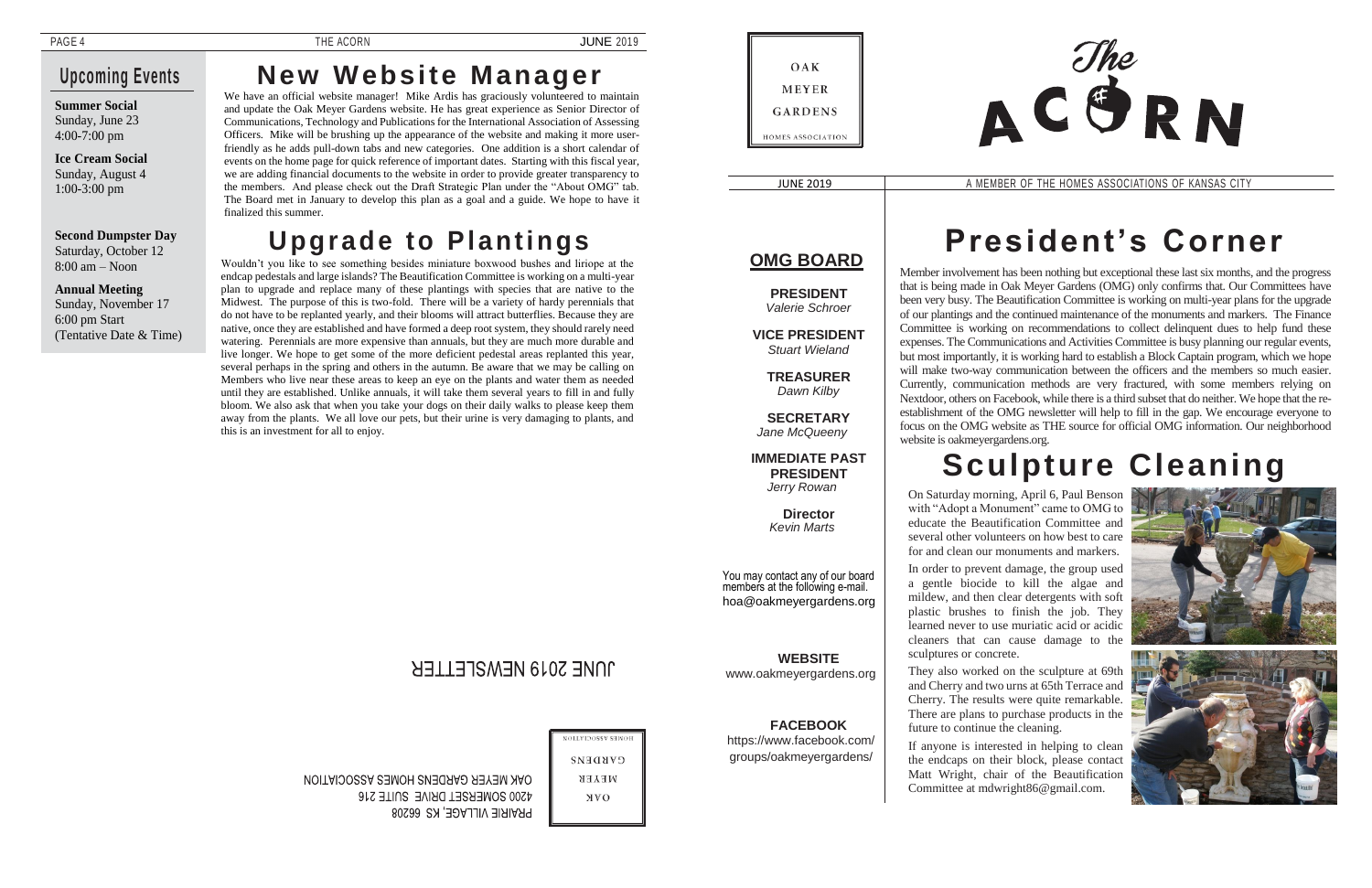### **Upcoming Events**

**Summer Social** Sunday, June 23 4:00-7:00 pm

**Ice Cream Social**  Sunday, August 4 1:00-3:00 pm

## **New Website Manager**

We have an official website manager! Mike Ardis has graciously volunteered to maintain and update the Oak Meyer Gardens website. He has great experience as Senior Director of Communications, Technology and Publications for the International Association of Assessing Officers. Mike will be brushing up the appearance of the website and making it more userfriendly as he adds pull-down tabs and new categories. One addition is a short calendar of events on the home page for quick reference of important dates. Starting with this fiscal year, we are adding financial documents to the website in order to provide greater transparency to the members. And please check out the Draft Strategic Plan under the "About OMG" tab. The Board met in January to develop this plan as a goal and a guide. We hope to have it finalized this summer.

JUNE 2019 <sup>A</sup> MEMBER OF THE HOMES ASSOCIATIONS OF KANSAS CITY

#### **Second Dumpster Day**  Saturday, October 12 8:00 am – Noon

**Annual Meeting**  Sunday, November 17 6:00 pm Start (Tentative Date & Time)

# **Upgrade to Plantings**

Wouldn't you like to see something besides miniature boxwood bushes and liriope at the endcap pedestals and large islands? The Beautification Committee is working on a multi-year plan to upgrade and replace many of these plantings with species that are native to the Midwest. The purpose of this is two-fold. There will be a variety of hardy perennials that do not have to be replanted yearly, and their blooms will attract butterflies. Because they are native, once they are established and have formed a deep root system, they should rarely need watering. Perennials are more expensive than annuals, but they are much more durable and live longer. We hope to get some of the more deficient pedestal areas replanted this year, several perhaps in the spring and others in the autumn. Be aware that we may be calling on Members who live near these areas to keep an eye on the plants and water them as needed until they are established. Unlike annuals, it will take them several years to fill in and fully bloom. We also ask that when you take your dogs on their daily walks to please keep them away from the plants. We all love our pets, but their urine is very damaging to plants, and this is an investment for all to enjoy.

### OAK **MEYER GARDENS HOMES ASSOCIATION**

### **OMG BOARD**

**PRESIDENT** *Valerie Schroer*

**VICE PRESIDENT** *Stuart Wieland*

**TREASURER** *Dawn Kilby*

**SECRETARY** *Jane McQueeny*

#### **IMMEDIATE PAST PRESIDENT**

*Jerry Rowan*

**Director** *Kevin Marts*

You may contact any of our board members at the following e-mail. hoa@oakmeyergardens.org

**WEBSITE** [www.oakmeyergardens.org](http://www.oakmeyergardens.org/)

**FACEBOOK**

https:/[/www.facebook.com/](http://www.facebook.com/) groups/oakmeyergardens/

# **President's Corner**

Member involvement has been nothing but exceptional these last six months, and the progress that is being made in Oak Meyer Gardens (OMG) only confirms that. Our Committees have been very busy. The Beautification Committee is working on multi-year plans for the upgrade of our plantings and the continued maintenance of the monuments and markers. The Finance Committee is working on recommendations to collect delinquent dues to help fund these expenses. The Communications and Activities Committee is busy planning our regular events, but most importantly, it is working hard to establish a Block Captain program, which we hope will make two-way communication between the officers and the members so much easier. Currently, communication methods are very fractured, with some members relying on Nextdoor, others on Facebook, while there is a third subset that do neither. We hope that the reestablishment of the OMG newsletter will help to fill in the gap. We encourage everyone to focus on the OMG website as THE source for official OMG information. Our neighborhood website is oakmeyergardens.org.

# **Sculpture Cleaning**



On Saturday morning, April 6, Paul Benson with "Adopt a Monument" came to OMG to educate the Beautification Committee and several other volunteers on how best to care for and clean our monuments and markers.

In order to prevent damage, the group used a gentle biocide to kill the algae and mildew, and then clear detergents with soft plastic brushes to finish the job. They learned never to use muriatic acid or acidic cleaners that can cause damage to the sculptures or concrete.

They also worked on the sculpture at 69th and Cherry and two urns at 65th Terrace and Cherry. The results were quite remarkable. There are plans to purchase products in the future to continue the cleaning.

If anyone is interested in helping to clean the endcaps on their block, please contact Matt Wright, chair of the Beautification Committee at mdwright86@gmail.com.

### JUNE 2019 NEWSLETTER

NOLLVIDOSSV SENOH

**GARDENS**  $\verb|WEXE|$ **NVO** 

ONK MEYER GARDENS HOMES ASSOCIATION **4200 SOMERSET DRIVE SUITE 216** PRAIRIE VILLAGE, KS 66208